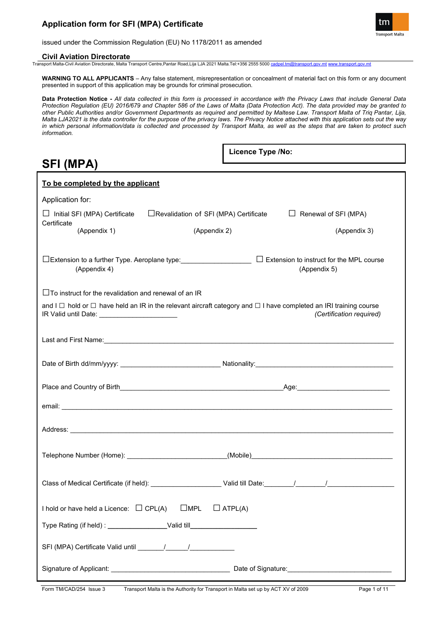

issued under the Commission Regulation (EU) No 1178/2011 as amended

### **Civil Aviation Directorate**

Transport Malta-Civil Aviation Directorate, Malta Transport Centre,Pantar Road,Lija LJA 2021 Malta.Tel:+356 2555 5000 [cadpel.tm@transport.gov.mt](mailto:cadpel.tm@transport.gov.mt) [www.transport.gov.mt](http://www.transport.gov.mt/)

**WARNING TO ALL APPLICANTS** – Any false statement, misrepresentation or concealment of material fact on this form or any document presented in support of this application may be grounds for criminal prosecution.

**Data Protection Notice -** *All data collected in this form is processed in accordance with the Privacy Laws that include General Data Protection Regulation (EU) 2016/679 and Chapter 586 of the Laws of Malta (Data Protection Act). The data provided may be granted to other Public Authorities and/or Government Departments as required and permitted by Maltese Law. Transport Malta of Triq Pantar, Lija, Malta LJA2021 is the data controller for the purpose of the privacy laws. The Privacy Notice attached with this application sets out the way in which personal information/data is collected and processed by Transport Malta, as well as the steps that are taken to protect such information.*

**Licence Type /No:** 

# **SFI (MPA)**

| To be completed by the applicant                             |                                                                                                                                  |                                                 |
|--------------------------------------------------------------|----------------------------------------------------------------------------------------------------------------------------------|-------------------------------------------------|
| Application for:                                             |                                                                                                                                  |                                                 |
| Initial SFI (MPA) Certificate                                | □ Revalidation of SFI (MPA) Certificate                                                                                          | $\Box$ Renewal of SFI (MPA)                     |
| Certificate<br>(Appendix 1)                                  | (Appendix 2)                                                                                                                     | (Appendix 3)                                    |
| (Appendix 4)                                                 |                                                                                                                                  | (Appendix 5)                                    |
| $\Box$ To instruct for the revalidation and renewal of an IR |                                                                                                                                  |                                                 |
| IR Valid until Date: ________________________                | and I $\Box$ hold or $\Box$ have held an IR in the relevant aircraft category and $\Box$ I have completed an IRI training course | (Certification required)                        |
|                                                              |                                                                                                                                  |                                                 |
|                                                              |                                                                                                                                  |                                                 |
|                                                              |                                                                                                                                  |                                                 |
|                                                              |                                                                                                                                  |                                                 |
|                                                              |                                                                                                                                  |                                                 |
|                                                              |                                                                                                                                  |                                                 |
|                                                              |                                                                                                                                  |                                                 |
|                                                              | I hold or have held a Licence: $\Box$ CPL(A) $\Box$ MPL $\Box$ ATPL(A)                                                           |                                                 |
|                                                              |                                                                                                                                  |                                                 |
|                                                              |                                                                                                                                  |                                                 |
|                                                              |                                                                                                                                  | Date of Signature:<br><u>Date</u> of Signature: |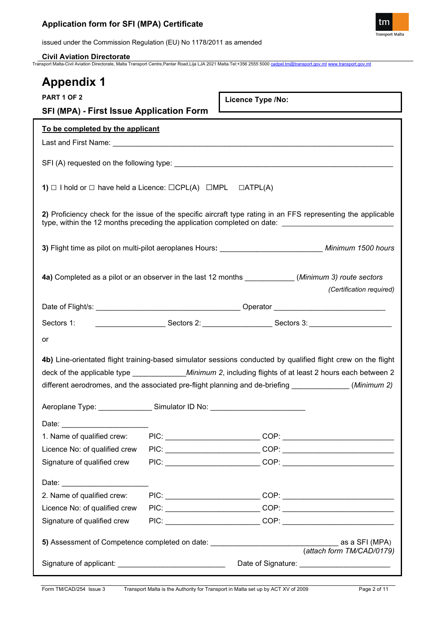

issued under the Commission Regulation (EU) No 1178/2011 as amended

## **Civil Aviation Directorate**

Transport Malta-Civil Aviation Directorate, Malta Transport Centre,Pantar Road,Lija LJA 2021 Malta.Tel:+356 2555 5000 [cadpel.tm@transport.gov.mt](mailto:cadpel.tm@transport.gov.mt) [www.transport.gov.mt](http://www.transport.gov.mt/)

| <b>Appendix 1</b>                                                                                                                                                                                                                                            |                                                                                         |                   |  |
|--------------------------------------------------------------------------------------------------------------------------------------------------------------------------------------------------------------------------------------------------------------|-----------------------------------------------------------------------------------------|-------------------|--|
| <b>PART 1 OF 2</b>                                                                                                                                                                                                                                           |                                                                                         | Licence Type /No: |  |
| <b>SFI (MPA) - First Issue Application Form</b>                                                                                                                                                                                                              |                                                                                         |                   |  |
| To be completed by the applicant                                                                                                                                                                                                                             |                                                                                         |                   |  |
|                                                                                                                                                                                                                                                              |                                                                                         |                   |  |
|                                                                                                                                                                                                                                                              |                                                                                         |                   |  |
|                                                                                                                                                                                                                                                              | 1) $\Box$ I hold or $\Box$ have held a Licence: $\Box$ CPL(A) $\Box$ MPL $\Box$ ATPL(A) |                   |  |
| 2) Proficiency check for the issue of the specific aircraft type rating in an FFS representing the applicable<br>type, within the 12 months preceding the application completed on date:                                                                     |                                                                                         |                   |  |
| 3) Flight time as pilot on multi-pilot aeroplanes Hours: ____________________________ Minimum 1500 hours                                                                                                                                                     |                                                                                         |                   |  |
| 4a) Completed as a pilot or an observer in the last 12 months ____________(Minimum 3) route sectors<br>(Certification required)                                                                                                                              |                                                                                         |                   |  |
|                                                                                                                                                                                                                                                              |                                                                                         |                   |  |
|                                                                                                                                                                                                                                                              |                                                                                         |                   |  |
| or                                                                                                                                                                                                                                                           |                                                                                         |                   |  |
| 4b) Line-orientated flight training-based simulator sessions conducted by qualified flight crew on the flight                                                                                                                                                |                                                                                         |                   |  |
|                                                                                                                                                                                                                                                              |                                                                                         |                   |  |
| different aerodromes, and the associated pre-flight planning and de-briefing _____________(Minimum 2)                                                                                                                                                        |                                                                                         |                   |  |
| Aeroplane Type: ________________Simulator ID No: _______________________________                                                                                                                                                                             |                                                                                         |                   |  |
|                                                                                                                                                                                                                                                              |                                                                                         |                   |  |
| Date: <u>Date:</u><br>1. Name of qualified crew:                                                                                                                                                                                                             |                                                                                         |                   |  |
| Licence No: of qualified crew                                                                                                                                                                                                                                |                                                                                         |                   |  |
| Signature of qualified crew                                                                                                                                                                                                                                  |                                                                                         |                   |  |
|                                                                                                                                                                                                                                                              |                                                                                         |                   |  |
| Date: the contract of the contract of the contract of the contract of the contract of the contract of the contract of the contract of the contract of the contract of the contract of the contract of the contract of the cont<br>2. Name of qualified crew: |                                                                                         |                   |  |
| Licence No: of qualified crew                                                                                                                                                                                                                                |                                                                                         |                   |  |
| Signature of qualified crew                                                                                                                                                                                                                                  |                                                                                         |                   |  |
|                                                                                                                                                                                                                                                              |                                                                                         |                   |  |
| as a SFI (MPA)<br>5) Assessment of Competence completed on date: _________________________________<br>(attach form TM/CAD/0179)                                                                                                                              |                                                                                         |                   |  |
| Signature of applicant: _________________________________                                                                                                                                                                                                    |                                                                                         |                   |  |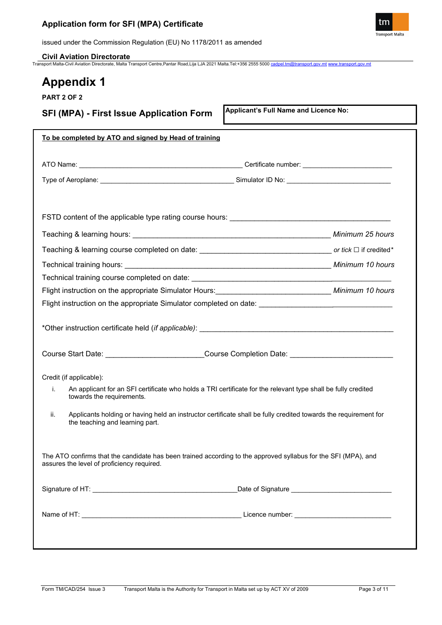

issued under the Commission Regulation (EU) No 1178/2011 as amended

**Civil Aviation Directorate**

Transport Malta-Civil Aviation Directorate, Malta Transport Centre,Pantar Road,Lija LJA 2021 Malta.Tel:+356 2555 5000 [cadpel.tm@transport.gov.mt](mailto:cadpel.tm@transport.gov.mt) [www.transport.gov.mt](http://www.transport.gov.mt/)

# **Appendix 1**

**PART 2 OF 2**

**SFI (MPA) - First Issue Application Form**

**Applicant's Full Name and Licence No:**

|                                            | To be completed by ATO and signed by Head of training                                                                                                                                                                                                                                                                                       |
|--------------------------------------------|---------------------------------------------------------------------------------------------------------------------------------------------------------------------------------------------------------------------------------------------------------------------------------------------------------------------------------------------|
|                                            |                                                                                                                                                                                                                                                                                                                                             |
|                                            |                                                                                                                                                                                                                                                                                                                                             |
|                                            |                                                                                                                                                                                                                                                                                                                                             |
|                                            |                                                                                                                                                                                                                                                                                                                                             |
|                                            | Teaching & learning hours: Nintendo Control of Minimum 25 hours                                                                                                                                                                                                                                                                             |
|                                            |                                                                                                                                                                                                                                                                                                                                             |
|                                            |                                                                                                                                                                                                                                                                                                                                             |
|                                            |                                                                                                                                                                                                                                                                                                                                             |
|                                            | Flight instruction on the appropriate Simulator Hours: Minimum 10 hours                                                                                                                                                                                                                                                                     |
|                                            |                                                                                                                                                                                                                                                                                                                                             |
|                                            |                                                                                                                                                                                                                                                                                                                                             |
|                                            | *Other instruction certificate held (if applicable): <b>All any of the control of the control of the control of the control of the control of the control of the control of the control of the control of the control of the con</b><br>Course Start Date: __________________________Course Completion Date: ______________________________ |
| Credit (if applicable):                    |                                                                                                                                                                                                                                                                                                                                             |
| i.<br>towards the requirements.            | An applicant for an SFI certificate who holds a TRI certificate for the relevant type shall be fully credited                                                                                                                                                                                                                               |
| ii.<br>the teaching and learning part.     | Applicants holding or having held an instructor certificate shall be fully credited towards the requirement for                                                                                                                                                                                                                             |
| assures the level of proficiency required. | The ATO confirms that the candidate has been trained according to the approved syllabus for the SFI (MPA), and                                                                                                                                                                                                                              |
|                                            | _Date of Signature ________________________________                                                                                                                                                                                                                                                                                         |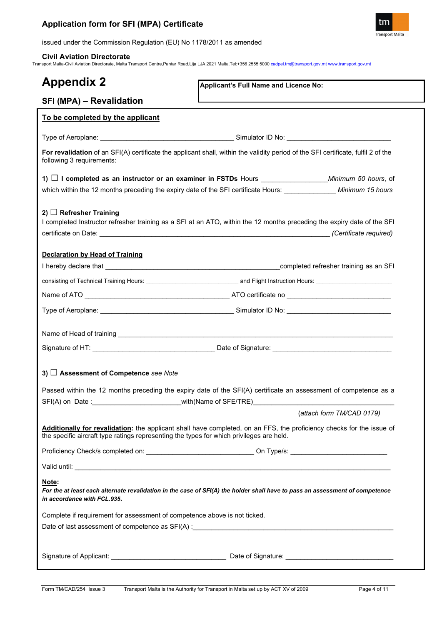

issued under the Commission Regulation (EU) No 1178/2011 as amended

## **Civil Aviation Directorate**

Transport Malta-Civil Aviation Directorate, Malta Transport Centre,Pantar Road,Lija LJA 2021 Malta.Tel:+356 2555 5000 [cadpel.tm@transport.gov.mt](mailto:cadpel.tm@transport.gov.mt) [www.transport.gov.mt](http://www.transport.gov.mt/)

| <b>Appendix 2</b>                                                                        | Applicant's Full Name and Licence No:                                                                                             |
|------------------------------------------------------------------------------------------|-----------------------------------------------------------------------------------------------------------------------------------|
| SFI (MPA) - Revalidation                                                                 |                                                                                                                                   |
| To be completed by the applicant                                                         |                                                                                                                                   |
|                                                                                          |                                                                                                                                   |
| following 3 requirements:                                                                | For revalidation of an SFI(A) certificate the applicant shall, within the validity period of the SFI certificate, fulfil 2 of the |
|                                                                                          |                                                                                                                                   |
|                                                                                          | which within the 12 months preceding the expiry date of the SFI certificate Hours: _____________ Minimum 15 hours                 |
| 2) $\Box$ Refresher Training                                                             | I completed Instructor refresher training as a SFI at an ATO, within the 12 months preceding the expiry date of the SFI           |
|                                                                                          |                                                                                                                                   |
| <b>Declaration by Head of Training</b>                                                   |                                                                                                                                   |
|                                                                                          |                                                                                                                                   |
|                                                                                          |                                                                                                                                   |
|                                                                                          |                                                                                                                                   |
|                                                                                          |                                                                                                                                   |
|                                                                                          |                                                                                                                                   |
|                                                                                          |                                                                                                                                   |
|                                                                                          |                                                                                                                                   |
| 3) □ Assessment of Competence see Note                                                   |                                                                                                                                   |
|                                                                                          | Passed within the 12 months preceding the expiry date of the SFI(A) certificate an assessment of competence as a                  |
| $SFI(A)$ on Date:                                                                        | with (Name of SFE/TRE)                                                                                                            |
|                                                                                          | (attach form TM/CAD 0179)                                                                                                         |
| the specific aircraft type ratings representing the types for which privileges are held. | Additionally for revalidation: the applicant shall have completed, on an FFS, the proficiency checks for the issue of             |
|                                                                                          |                                                                                                                                   |
|                                                                                          |                                                                                                                                   |
| Note:<br>in accordance with FCL.935.                                                     | For the at least each alternate revalidation in the case of SFI(A) the holder shall have to pass an assessment of competence      |
| Complete if requirement for assessment of competence above is not ticked.                |                                                                                                                                   |
|                                                                                          |                                                                                                                                   |
|                                                                                          |                                                                                                                                   |
|                                                                                          |                                                                                                                                   |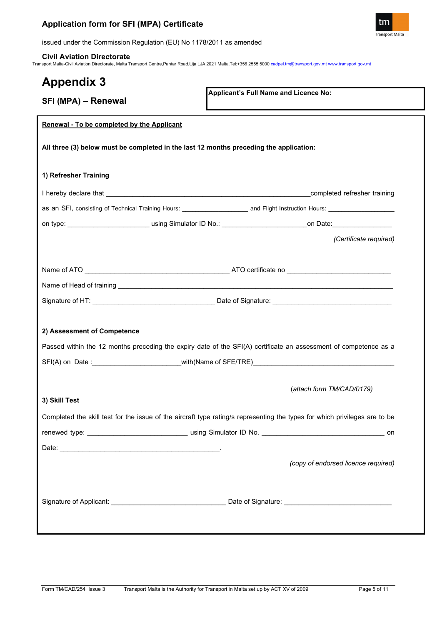

issued under the Commission Regulation (EU) No 1178/2011 as amended

## **Civil Aviation Directorate**

Transport Malta-Civil Aviation Directorate, Malta Transport Centre,Pantar Road,Lija LJA 2021 Malta.Tel:+356 2555 5000 [cadpel.tm@transport.gov.mt](mailto:cadpel.tm@transport.gov.mt) [www.transport.gov.mt](http://www.transport.gov.mt/)

| <b>Appendix 3</b>                                                                      |                                                                                                                                         |
|----------------------------------------------------------------------------------------|-----------------------------------------------------------------------------------------------------------------------------------------|
| SFI (MPA) - Renewal                                                                    | Applicant's Full Name and Licence No:                                                                                                   |
| <b>Renewal - To be completed by the Applicant</b>                                      |                                                                                                                                         |
| All three (3) below must be completed in the last 12 months preceding the application: |                                                                                                                                         |
| 1) Refresher Training                                                                  |                                                                                                                                         |
|                                                                                        |                                                                                                                                         |
|                                                                                        | as an SFI, consisting of Technical Training Hours: ______________________________ and Flight Instruction Hours: _______________________ |
|                                                                                        |                                                                                                                                         |
|                                                                                        | (Certificate required)                                                                                                                  |
|                                                                                        |                                                                                                                                         |
|                                                                                        |                                                                                                                                         |
|                                                                                        |                                                                                                                                         |
|                                                                                        |                                                                                                                                         |
|                                                                                        |                                                                                                                                         |
| 2) Assessment of Competence                                                            |                                                                                                                                         |
|                                                                                        | Passed within the 12 months preceding the expiry date of the SFI(A) certificate an assessment of competence as a                        |
|                                                                                        |                                                                                                                                         |
|                                                                                        |                                                                                                                                         |
|                                                                                        | (attach form TM/CAD/0179)                                                                                                               |
| 3) Skill Test                                                                          |                                                                                                                                         |
|                                                                                        | Completed the skill test for the issue of the aircraft type rating/s representing the types for which privileges are to be              |
|                                                                                        |                                                                                                                                         |
|                                                                                        |                                                                                                                                         |
|                                                                                        | (copy of endorsed licence required)                                                                                                     |
|                                                                                        |                                                                                                                                         |
|                                                                                        |                                                                                                                                         |
|                                                                                        |                                                                                                                                         |
|                                                                                        |                                                                                                                                         |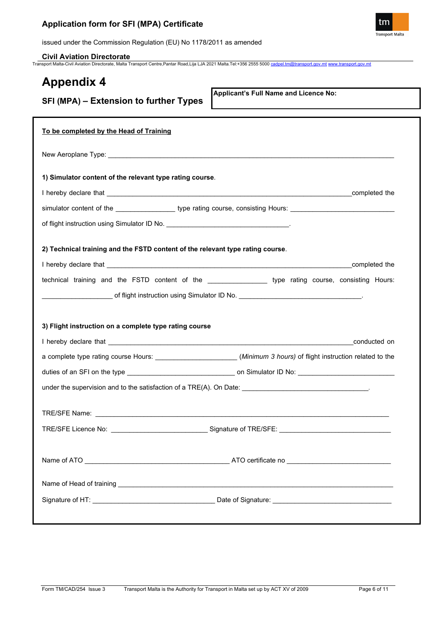

issued under the Commission Regulation (EU) No 1178/2011 as amended

**Civil Aviation Directorate** Transport Malta-Civil Aviation Directorate, Malta Transport Centre,Pantar Road,Lija LJA 2021 Malta.Tel:+356 2555 5000 [cadpel.tm@transport.gov.mt](mailto:cadpel.tm@transport.gov.mt) [www.transport.gov.mt](http://www.transport.gov.mt/)

| <b>Appendix 4</b><br>SFI (MPA) - Extension to further Types                                                                              | Applicant's Full Name and Licence No:                                                                                                                                                                                          |
|------------------------------------------------------------------------------------------------------------------------------------------|--------------------------------------------------------------------------------------------------------------------------------------------------------------------------------------------------------------------------------|
| To be completed by the Head of Training                                                                                                  |                                                                                                                                                                                                                                |
|                                                                                                                                          |                                                                                                                                                                                                                                |
| 1) Simulator content of the relevant type rating course.                                                                                 |                                                                                                                                                                                                                                |
|                                                                                                                                          | completed the                                                                                                                                                                                                                  |
|                                                                                                                                          | simulator content of the _______________________ type rating course, consisting Hours: _______________________                                                                                                                 |
|                                                                                                                                          |                                                                                                                                                                                                                                |
| 2) Technical training and the FSTD content of the relevant type rating course.<br>3) Flight instruction on a complete type rating course | technical training and the FSTD content of the ___________________ type rating course, consisting Hours:<br>a complete type rating course Hours: _______________________(Minimum 3 hours) of flight instruction related to the |
|                                                                                                                                          |                                                                                                                                                                                                                                |
|                                                                                                                                          |                                                                                                                                                                                                                                |
|                                                                                                                                          |                                                                                                                                                                                                                                |
|                                                                                                                                          |                                                                                                                                                                                                                                |
|                                                                                                                                          |                                                                                                                                                                                                                                |
|                                                                                                                                          |                                                                                                                                                                                                                                |
|                                                                                                                                          |                                                                                                                                                                                                                                |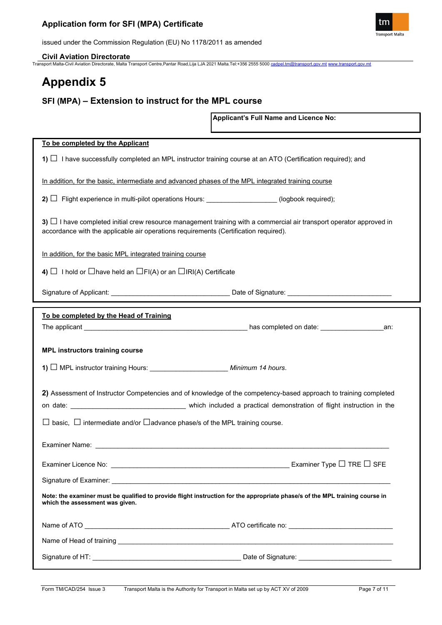

issued under the Commission Regulation (EU) No 1178/2011 as amended

**Civil Aviation Directorate**

Transport Malta-Civil Aviation Directorate, Malta Transport Centre,Pantar Road,Lija LJA 2021 Malta.Tel:+356 2555 5000 [cadpel.tm@transport.gov.mt](mailto:cadpel.tm@transport.gov.mt) [www.transport.gov.mt](http://www.transport.gov.mt/)

# **Appendix 5**

# **SFI (MPA) – Extension to instruct for the MPL course**

**Applicant's Full Name and Licence No:**

| To be completed by the Applicant                                                                                                                                                                                  |                                                                                                                                                                                                                                                                                                                                                                                                                                                                                                                                        |  |
|-------------------------------------------------------------------------------------------------------------------------------------------------------------------------------------------------------------------|----------------------------------------------------------------------------------------------------------------------------------------------------------------------------------------------------------------------------------------------------------------------------------------------------------------------------------------------------------------------------------------------------------------------------------------------------------------------------------------------------------------------------------------|--|
| 1) $\Box$ I have successfully completed an MPL instructor training course at an ATO (Certification required); and                                                                                                 |                                                                                                                                                                                                                                                                                                                                                                                                                                                                                                                                        |  |
| In addition, for the basic, intermediate and advanced phases of the MPL integrated training course                                                                                                                |                                                                                                                                                                                                                                                                                                                                                                                                                                                                                                                                        |  |
| 2) $\Box$ Flight experience in multi-pilot operations Hours: _________________(logbook required);                                                                                                                 |                                                                                                                                                                                                                                                                                                                                                                                                                                                                                                                                        |  |
| 3) $\Box$ I have completed initial crew resource management training with a commercial air transport operator approved in<br>accordance with the applicable air operations requirements (Certification required). |                                                                                                                                                                                                                                                                                                                                                                                                                                                                                                                                        |  |
| In addition, for the basic MPL integrated training course                                                                                                                                                         |                                                                                                                                                                                                                                                                                                                                                                                                                                                                                                                                        |  |
| 4) $\Box$ I hold or $\Box$ have held an $\Box$ FI(A) or an $\Box$ IRI(A) Certificate                                                                                                                              |                                                                                                                                                                                                                                                                                                                                                                                                                                                                                                                                        |  |
|                                                                                                                                                                                                                   |                                                                                                                                                                                                                                                                                                                                                                                                                                                                                                                                        |  |
| To be completed by the Head of Training                                                                                                                                                                           |                                                                                                                                                                                                                                                                                                                                                                                                                                                                                                                                        |  |
|                                                                                                                                                                                                                   |                                                                                                                                                                                                                                                                                                                                                                                                                                                                                                                                        |  |
|                                                                                                                                                                                                                   |                                                                                                                                                                                                                                                                                                                                                                                                                                                                                                                                        |  |
| <b>MPL instructors training course</b>                                                                                                                                                                            |                                                                                                                                                                                                                                                                                                                                                                                                                                                                                                                                        |  |
| 1) □ MPL instructor training Hours: ________________________ Minimum 14 hours.                                                                                                                                    |                                                                                                                                                                                                                                                                                                                                                                                                                                                                                                                                        |  |
| 2) Assessment of Instructor Competencies and of knowledge of the competency-based approach to training completed                                                                                                  |                                                                                                                                                                                                                                                                                                                                                                                                                                                                                                                                        |  |
|                                                                                                                                                                                                                   |                                                                                                                                                                                                                                                                                                                                                                                                                                                                                                                                        |  |
| $\Box$ basic, $\Box$ intermediate and/or $\Box$ advance phase/s of the MPL training course.                                                                                                                       |                                                                                                                                                                                                                                                                                                                                                                                                                                                                                                                                        |  |
|                                                                                                                                                                                                                   |                                                                                                                                                                                                                                                                                                                                                                                                                                                                                                                                        |  |
| Examiner Licence No:                                                                                                                                                                                              | $\begin{array}{c} \begin{array}{c} \text{\color{red}{\large\bf 1}}\\ \text{\color{blue}{\large\bf 2}}\\ \text{\color{blue}{\large\bf 3}}\\ \text{\color{blue}{\large\bf 4}}\\ \text{\color{blue}{\large\bf 5}}\\ \text{\color{blue}{\large\bf 6}}\\ \text{\color{blue}{\large\bf 6}}\\ \text{\color{blue}{\large\bf 7}}\\ \text{\color{blue}{\large\bf 7}}\\ \text{\color{blue}{\large\bf 8}}\\ \text{\color{blue}{\large\bf 1}}\\ \text{\color{blue}{\large\bf 1}}\\ \text{\color{blue}{\large\bf 1}}\\ \text{\color{blue}{\large\bf$ |  |
|                                                                                                                                                                                                                   |                                                                                                                                                                                                                                                                                                                                                                                                                                                                                                                                        |  |
| Note: the examiner must be qualified to provide flight instruction for the appropriate phase/s of the MPL training course in<br>which the assessment was given.                                                   |                                                                                                                                                                                                                                                                                                                                                                                                                                                                                                                                        |  |
|                                                                                                                                                                                                                   |                                                                                                                                                                                                                                                                                                                                                                                                                                                                                                                                        |  |
|                                                                                                                                                                                                                   |                                                                                                                                                                                                                                                                                                                                                                                                                                                                                                                                        |  |
|                                                                                                                                                                                                                   |                                                                                                                                                                                                                                                                                                                                                                                                                                                                                                                                        |  |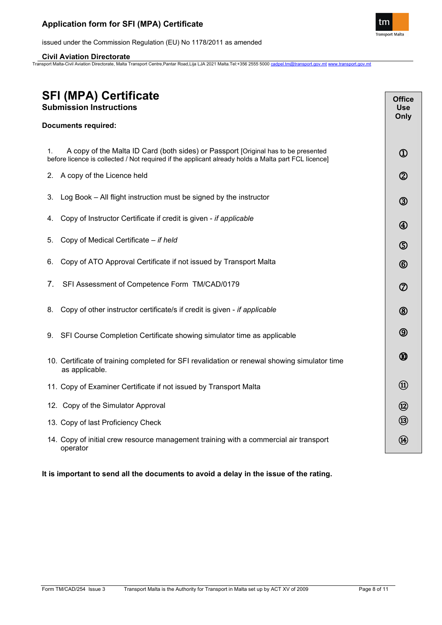

issued under the Commission Regulation (EU) No 1178/2011 as amended

## **Civil Aviation Directorate**

Transport Malta-Civil Aviation Directorate, Malta Transport Centre,Pantar Road,Lija LJA 2021 Malta.Tel:+356 2555 5000 [cadpel.tm@transport.gov.mt](mailto:cadpel.tm@transport.gov.mt) [www.transport.gov.mt](http://www.transport.gov.mt/)

| <b>SFI (MPA) Certificate</b><br><b>Submission Instructions</b>                                                                                                                                  |                                     |
|-------------------------------------------------------------------------------------------------------------------------------------------------------------------------------------------------|-------------------------------------|
| <b>Documents required:</b>                                                                                                                                                                      | Only                                |
|                                                                                                                                                                                                 |                                     |
| A copy of the Malta ID Card (both sides) or Passport [Original has to be presented<br>1.<br>before licence is collected / Not required if the applicant already holds a Malta part FCL licence] | $^{\textcircled{\footnotesize{1}}}$ |
| 2. A copy of the Licence held                                                                                                                                                                   | $^{\circledR}$                      |
| Log Book – All flight instruction must be signed by the instructor<br>3.                                                                                                                        | $\circledS$                         |
| Copy of Instructor Certificate if credit is given - if applicable<br>4.                                                                                                                         | $^{\circledR}$                      |
| Copy of Medical Certificate - if held<br>5.                                                                                                                                                     | $\circledS$                         |
| Copy of ATO Approval Certificate if not issued by Transport Malta<br>6.                                                                                                                         | $^{\circledR}$                      |
| 7.<br>SFI Assessment of Competence Form TM/CAD/0179                                                                                                                                             | $^\circledR$                        |
| Copy of other instructor certificate/s if credit is given - if applicable<br>8.                                                                                                                 | $^{\circledR}$                      |
| SFI Course Completion Certificate showing simulator time as applicable<br>9.                                                                                                                    | $\circledS$                         |
| 10. Certificate of training completed for SFI revalidation or renewal showing simulator time<br>as applicable.                                                                                  | $^\circledR$                        |
| 11. Copy of Examiner Certificate if not issued by Transport Malta                                                                                                                               |                                     |
| 12. Copy of the Simulator Approval                                                                                                                                                              | $\circledR$                         |
| 13. Copy of last Proficiency Check                                                                                                                                                              | $\circledR$                         |
| 14. Copy of initial crew resource management training with a commercial air transport<br>operator                                                                                               | (14)                                |

**It is important to send all the documents to avoid a delay in the issue of the rating.**

Ī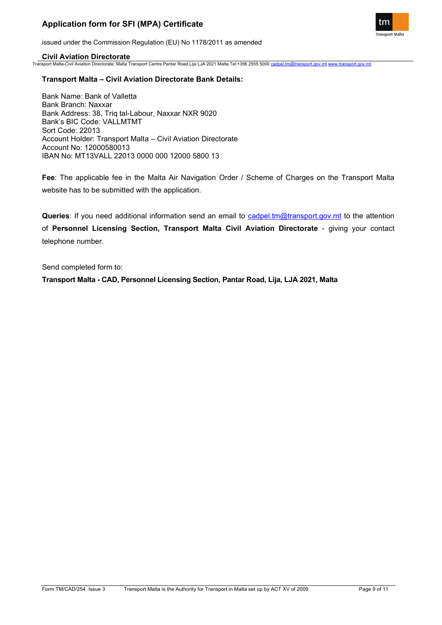

issued under the Commission Regulation (EU) No 1178/2011 as amended

### **Civil Aviation Directorate**

Transport Malta-Civil Aviation Directorate, Malta Transport Centre,Pantar Road,Lija LJA 2021 Malta.Tel:+356 2555 5000 [cadpel.tm@transport.gov.mt](mailto:cadpel.tm@transport.gov.mt) [www.transport.gov.mt](http://www.transport.gov.mt/)

### **Transport Malta – Civil Aviation Directorate Bank Details:**

Bank Name: Bank of Valletta Bank Branch: Naxxar Bank Address: 38, Triq tal-Labour, Naxxar NXR 9020 Bank's BIC Code: VALLMTMT Sort Code: 22013 Account Holder: Transport Malta – Civil Aviation Directorate Account No: 12000580013 IBAN No: MT13VALL 22013 0000 000 12000 5800 13

**Fee**: The applicable fee in the Malta Air Navigation Order / Scheme of Charges on the Transport Malta website has to be submitted with the application.

**Queries**: If you need additional information send an email to [cadpel.tm@transport.gov.mt](mailto:cadpel.tm@transport.gov.mt) to the attention of **Personnel Licensing Section, Transport Malta Civil Aviation Directorate** - giving your contact telephone number.

Send completed form to:

**Transport Malta - CAD, Personnel Licensing Section, Pantar Road, Lija, LJA 2021, Malta**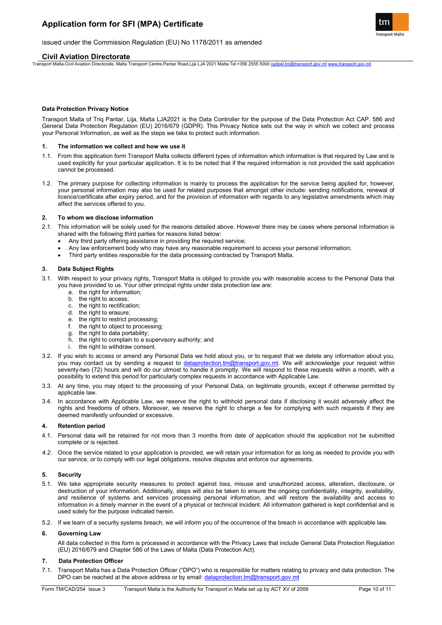

#### issued under the Commission Regulation (EU) No 1178/2011 as amended

#### **Civil Aviation Directorate**

Transport Malta-Civil Aviation Directorate, Malta Transport Centre,Pantar Road,Lija LJA 2021 Malta.Tel:+356 2555 5000 [cadpel.tm@transport.gov.mt](mailto:cadpel.tm@transport.gov.mt) [www.transport.gov.mt](http://www.transport.gov.mt/)

#### **Data Protection Privacy Notice**

Transport Malta of Triq Pantar, Lija, Malta LJA2021 is the Data Controller for the purpose of the Data Protection Act CAP. 586 and General Data Protection Regulation (EU) 2016/679 (GDPR). This Privacy Notice sets out the way in which we collect and process your Personal Information, as well as the steps we take to protect such information.

#### **1. The information we collect and how we use it**

- 1.1. From this application form Transport Malta collects different types of information which information is that required by Law and is used explicitly for your particular application. It is to be noted that if the required information is not provided the said application cannot be processed.
- 1.2. The primary purpose for collecting information is mainly to process the application for the service being applied for, however, your personal information may also be used for related purposes that amongst other include: sending notifications, renewal of licence/certificate after expiry period, and for the provision of information with regards to any legislative amendments which may affect the services offered to you.

#### **2. To whom we disclose information**

- 2.1. This information will be solely used for the reasons detailed above. However there may be cases where personal information is shared with the following third parties for reasons listed below:
	- Any third party offering assistance in providing the required service;
	- Any law enforcement body who may have any reasonable requirement to access your personal information;<br>• Third party entities responsible for the data processing contracted by Transport Malta
	- Third party entities responsible for the data processing contracted by Transport Malta.

#### **3. Data Subject Rights**

- 3.1. With respect to your privacy rights, Transport Malta is obliged to provide you with reasonable access to the Personal Data that you have provided to us. Your other principal rights under data protection law are:
	- a. the right for information;
	- b. the right to access;
	- c. the right to rectification;
	- d. the right to erasure;
	- e. the right to restrict processing;
	- f. the right to object to processing;
	- g. the right to data portability;
	- h. the right to complain to a supervisory authority; and
	- i. the right to withdraw consent.
- 3.2. If you wish to access or amend any Personal Data we hold about you, or to request that we delete any information about you, you may contact us by sending a request to [dataprotection.tm@transport.gov.mt.](mailto:dataprotection.tm@transport.gov.mt) We will acknowledge your request within seventy-two (72) hours and will do our utmost to handle it promptly. We will respond to these requests within a month, with a possibility to extend this period for particularly complex requests in accordance with Applicable Law.
- 3.3. At any time, you may object to the processing of your Personal Data, on legitimate grounds, except if otherwise permitted by applicable law.
- 3.4. In accordance with Applicable Law, we reserve the right to withhold personal data if disclosing it would adversely affect the rights and freedoms of others. Moreover, we reserve the right to charge a fee for complying with such requests if they are deemed manifestly unfounded or excessive.

#### **4. Retention period**

- 4.1. Personal data will be retained for not more than 3 months from date of application should the application not be submitted complete or is rejected.
- *4.2.* Once the service related to your application is provided, we will retain your information for as long as needed to provide you with our service, or to comply with our legal obligations, resolve disputes and enforce our agreements.

#### **5. Security**

- 5.1. We take appropriate security measures to protect against loss, misuse and unauthorized access, alteration, disclosure, or destruction of your information. Additionally, steps will also be taken to ensure the ongoing confidentiality, integrity, availability, and resilience of systems and services processing personal information, and will restore the availability and access to information in a timely manner in the event of a physical or technical incident. All information gathered is kept confidential and is used solely for the purpose indicated herein.
- 5.2. If we learn of a security systems breach, we will inform you of the occurrence of the breach in accordance with applicable law.

#### **6. Governing Law**

All data collected in this form is processed in accordance with the Privacy Laws that include General Data Protection Regulation (EU) 2016/679 and Chapter 586 of the Laws of Malta (Data Protection Act).

#### **7. Data Protection Officer**

7.1. Transport Malta has a Data Protection Officer ("DPO") who is responsible for matters relating to privacy and data protection. The DPO can be reached at the above address or by email: [dataprotection.tm@transport.gov.mt](mailto:dataprotection.tm@transport.gov.mt)